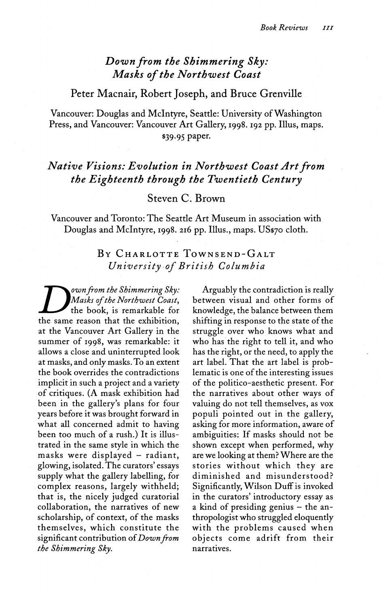## *Down from the Shimmering Sky: Masks of the Northwest Coast*

Peter Macnair, Robert Joseph, and Bruce Grenville

Vancouver: Douglas and Mclntyre, Seattle: University of Washington Press, and Vancouver: Vancouver Art Gallery, 1998. 192 pp. Illus, maps. \$39.95 paper.

## *Native Visions: Evolution in Northwest Coast Art from the Eighteenth through the Twentieth Century*

## Steven C. Brown

Vancouver and Toronto: The Seattle Art Museum in association with Douglas and Mclntyre, 1998. 216 pp. Illus., maps. US\$70 cloth.

## BY CHARLOTTE TOWNSEND-GALT *University of British Columbia*

**D**<sup>own</sup> from the Shimmering Sky:<br>
Masks of the Northwest Coast,<br>
the book, is remarkable for<br>
the same reason that the exhibition, *own from the Shimmering Sky: Masks of the Northwest Coast*, the book, is remarkable for at the Vancouver Art Gallery in the summer of 1998, was remarkable: it allows a close and uninterrupted look at masks, and only masks. To an extent the book overrides the contradictions implicit in such a project and a variety of critiques. (A mask exhibition had been in the gallery's plans for four years before it was brought forward in what all concerned admit to having been too much of a rush.) It is illustrated in the same style in which the masks were displayed - radiant, glowing, isolated. The curators' essays supply what the gallery labelling, for complex reasons, largely withheld; that is, the nicely judged curatorial collaboration, the narratives of new scholarship, of context, of the masks themselves, which constitute the significant contribution of*Down from the Shimmering Sky.* 

Arguably the contradiction is really between visual and other forms of knowledge, the balance between them shifting in response to the state of the struggle over who knows what and who has the right to tell it, and who has the right, or the need, to apply the art label. That the art label is problematic is one of the interesting issues of the politico-aesthetic present. For the narratives about other ways of valuing do not tell themselves, as vox populi pointed out in the gallery, asking for more information, aware of ambiguities: If masks should not be shown except when performed, why are we looking at them? Where are the stories without which they are diminished and misunderstood? Significantly, Wilson Duff is invoked in the curators' introductory essay as a kind of presiding genius  $-$  the anthropologist who struggled eloquently with the problems caused when objects come adrift from their narratives.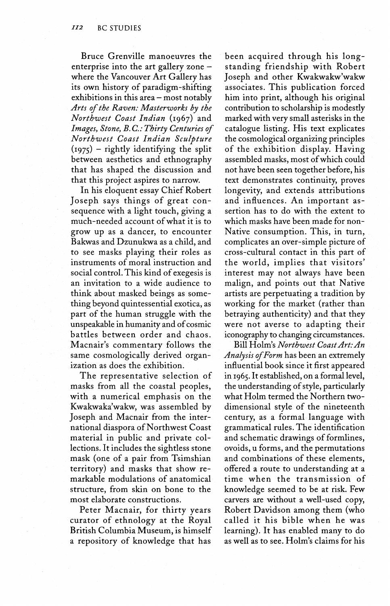Bruce Grenville manoeuvres the enterprise into the art gallery zone  $$ where the Vancouver Art Gallery has its own history of paradigm-shifting  $exhibitions in this area - most notably$ *Arts of the Raven: Masterworks by the Northwest Coast Indian* (1967) and *Images, Stone, B. C: Thirty Centuries of Northwest Coast Indian Sculpture*   $(1975)$  – rightly identifying the split between aesthetics and ethnography that has shaped the discussion and that this project aspires to narrow.

In his eloquent essay Chief Robert Joseph says things of great consequence with a light touch, giving a much-needed account of what it is to grow up as a dancer, to encounter Bakwas and Dzunukwa as a child, and to see masks playing their roles as instruments of moral instruction and social control. This kind of exegesis is an invitation to a wide audience to think about masked beings as something beyond quintessential exotica, as part of the human struggle with the unspeakable in humanity and of cosmic battles between order and chaos. Macnair's commentary follows the same cosmologically derived organization as does the exhibition.

The representative selection of masks from all the coastal peoples, with a numerical emphasis on the Kwakwaka'wakw, was assembled by Joseph and Macnair from the international diaspora of Northwest Coast material in public and private collections. It includes the sightless stone mask (one of a pair from Tsimshian territory) and masks that show remarkable modulations of anatomical structure, from skin on bone to the most elaborate constructions.

Peter Macnair, for thirty years curator of ethnology at the Royal British Columbia Museum, is himself a repository of knowledge that has

been acquired through his longstanding friendship with Robert Joseph and other Kwakwakw'wakw associates. This publication forced him into print, although his original contribution to scholarship is modestly marked with very small asterisks in the catalogue listing. His text explicates the cosmological organizing principles of the exhibition display. Having assembled masks, most of which could not have been seen together before, his text demonstrates continuity, proves longevity, and extends attributions and influences. An important assertion has to do with the extent to which masks have been made for non-Native consumption. This, in turn, complicates an over-simple picture of cross-cultural contact in this part of the world, implies that visitors' interest may not always have been malign, and points out that Native artists are perpetuating a tradition by working for the market (rather than betraying authenticity) and that they were not averse to adapting their iconography to changing circumstances.

Bill Holm's *Northwest Coast Art: An Analysis of Form* has been an extremely influential book since it first appeared in 1965. It established, on a formal level, the understanding of style, particularly what Holm termed the Northern twodimensional style of the nineteenth century, as a formal language with grammatical rules. The identification and schematic drawings of formlines, ovoids, u forms, and the permutations and combinations of these elements, offered a route to understanding at a time when the transmission of knowledge seemed to be at risk. Few carvers are without a well-used copy, Robert Davidson among them (who called it his bible when he was learning). It has enabled many to do as well as to see. Holm's claims for his